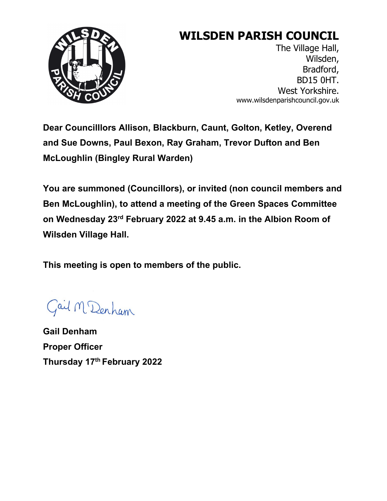

# **WILSDEN PARISH COUNCIL**

The Village Hall, Wilsden, Bradford, BD15 0HT. West Yorkshire. www.wilsdenparishcouncil.gov.uk

**Dear Councilllors Allison, Blackburn, Caunt, Golton, Ketley, Overend and Sue Downs, Paul Bexon, Ray Graham, Trevor Dufton and Ben McLoughlin (Bingley Rural Warden)** 

**You are summoned (Councillors), or invited (non council members and Ben McLoughlin), to attend a meeting of the Green Spaces Committee on Wednesday 23rd February 2022 at 9.45 a.m. in the Albion Room of Wilsden Village Hall.** 

**This meeting is open to members of the public.** 

Gail M Denham

**Gail Denham Proper Officer Thursday 17th February 2022**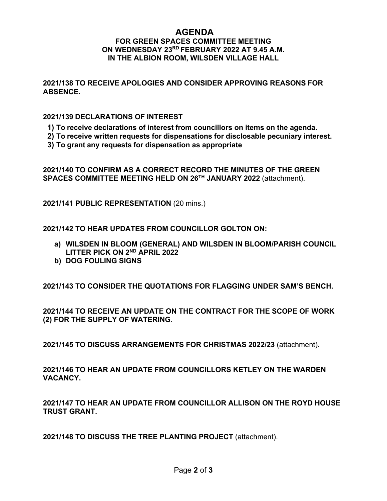## **AGENDA FOR GREEN SPACES COMMITTEE MEETING ON WEDNESDAY 23RD FEBRUARY 2022 AT 9.45 A.M. IN THE ALBION ROOM, WILSDEN VILLAGE HALL**

**2021/138 TO RECEIVE APOLOGIES AND CONSIDER APPROVING REASONS FOR ABSENCE.**

#### **2021/139 DECLARATIONS OF INTEREST**

- **1) To receive declarations of interest from councillors on items on the agenda.**
- **2) To receive written requests for dispensations for disclosable pecuniary interest.**
- **3) To grant any requests for dispensation as appropriate**

**2021/140 TO CONFIRM AS A CORRECT RECORD THE MINUTES OF THE GREEN SPACES COMMITTEE MEETING HELD ON 26TH JANUARY 2022** (attachment).

**2021/141 PUBLIC REPRESENTATION** (20 mins.)

**2021/142 TO HEAR UPDATES FROM COUNCILLOR GOLTON ON:**

- **a) WILSDEN IN BLOOM (GENERAL) AND WILSDEN IN BLOOM/PARISH COUNCIL LITTER PICK ON 2ND APRIL 2022**
- **b) DOG FOULING SIGNS**

**2021/143 TO CONSIDER THE QUOTATIONS FOR FLAGGING UNDER SAM'S BENCH.**

**2021/144 TO RECEIVE AN UPDATE ON THE CONTRACT FOR THE SCOPE OF WORK (2) FOR THE SUPPLY OF WATERING**.

**2021/145 TO DISCUSS ARRANGEMENTS FOR CHRISTMAS 2022/23** (attachment).

**2021/146 TO HEAR AN UPDATE FROM COUNCILLORS KETLEY ON THE WARDEN VACANCY.** 

**2021/147 TO HEAR AN UPDATE FROM COUNCILLOR ALLISON ON THE ROYD HOUSE TRUST GRANT.**

**2021/148 TO DISCUSS THE TREE PLANTING PROJECT** (attachment).